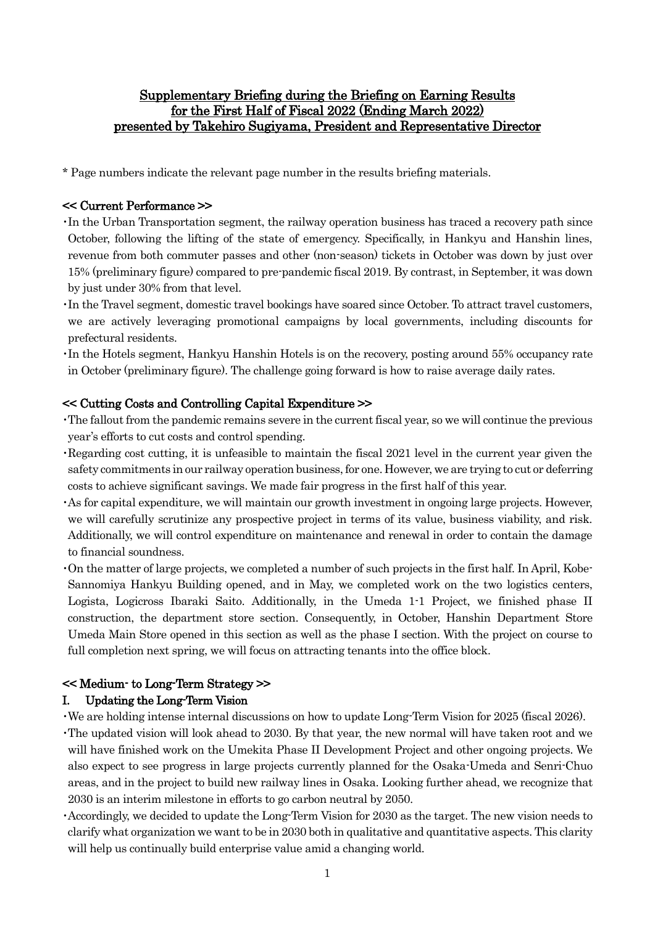# Supplementary Briefing during the Briefing on Earning Results for the First Half of Fiscal 2022 (Ending March 2022) presented by Takehiro Sugiyama, President and Representative Director

\* Page numbers indicate the relevant page number in the results briefing materials.

### << Current Performance >>

- ・In the Urban Transportation segment, the railway operation business has traced a recovery path since October, following the lifting of the state of emergency. Specifically, in Hankyu and Hanshin lines, revenue from both commuter passes and other (non-season) tickets in October was down by just over 15% (preliminary figure) compared to pre-pandemic fiscal 2019. By contrast, in September, it was down by just under 30% from that level.
- ・In the Travel segment, domestic travel bookings have soared since October. To attract travel customers, we are actively leveraging promotional campaigns by local governments, including discounts for prefectural residents.

・In the Hotels segment, Hankyu Hanshin Hotels is on the recovery, posting around 55% occupancy rate in October (preliminary figure). The challenge going forward is how to raise average daily rates.

### << Cutting Costs and Controlling Capital Expenditure >>

- ・The fallout from the pandemic remains severe in the current fiscal year, so we will continue the previous year's efforts to cut costs and control spending.
- ・Regarding cost cutting, it is unfeasible to maintain the fiscal 2021 level in the current year given the safety commitments in our railway operation business, for one. However, we are trying to cut or deferring costs to achieve significant savings. We made fair progress in the first half of this year.
- ・As for capital expenditure, we will maintain our growth investment in ongoing large projects. However, we will carefully scrutinize any prospective project in terms of its value, business viability, and risk. Additionally, we will control expenditure on maintenance and renewal in order to contain the damage to financial soundness.
- ・On the matter of large projects, we completed a number of such projects in the first half. In April, Kobe-Sannomiya Hankyu Building opened, and in May, we completed work on the two logistics centers, Logista, Logicross Ibaraki Saito. Additionally, in the Umeda 1-1 Project, we finished phase II construction, the department store section. Consequently, in October, Hanshin Department Store Umeda Main Store opened in this section as well as the phase I section. With the project on course to full completion next spring, we will focus on attracting tenants into the office block.

## << Medium- to Long-Term Strategy >>

#### I. Updating the Long-Term Vision

- ・We are holding intense internal discussions on how to update Long-Term Vision for 2025 (fiscal 2026).
- ・The updated vision will look ahead to 2030. By that year, the new normal will have taken root and we will have finished work on the Umekita Phase II Development Project and other ongoing projects. We also expect to see progress in large projects currently planned for the Osaka-Umeda and Senri-Chuo areas, and in the project to build new railway lines in Osaka. Looking further ahead, we recognize that 2030 is an interim milestone in efforts to go carbon neutral by 2050.
- ・Accordingly, we decided to update the Long-Term Vision for 2030 as the target. The new vision needs to clarify what organization we want to be in 2030 both in qualitative and quantitative aspects. This clarity will help us continually build enterprise value amid a changing world.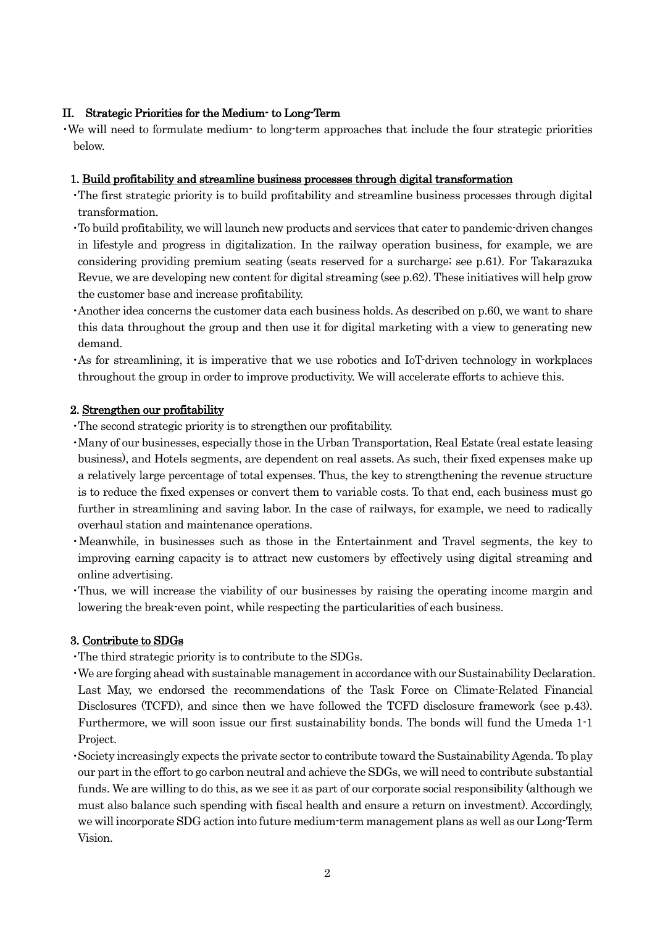## II. Strategic Priorities for the Medium- to Long-Term

・We will need to formulate medium- to long-term approaches that include the four strategic priorities below.

## 1. Build profitability and streamline business processes through digital transformation

- ・The first strategic priority is to build profitability and streamline business processes through digital transformation.
- ・To build profitability, we will launch new products and services that cater to pandemic-driven changes in lifestyle and progress in digitalization. In the railway operation business, for example, we are considering providing premium seating (seats reserved for a surcharge; see p.61). For Takarazuka Revue, we are developing new content for digital streaming (see p.62). These initiatives will help grow the customer base and increase profitability.
- ・Another idea concerns the customer data each business holds. As described on p.60, we want to share this data throughout the group and then use it for digital marketing with a view to generating new demand.
- ・As for streamlining, it is imperative that we use robotics and IoT-driven technology in workplaces throughout the group in order to improve productivity. We will accelerate efforts to achieve this.

## 2. Strengthen our profitability

- ・The second strategic priority is to strengthen our profitability.
- ・Many of our businesses, especially those in the Urban Transportation, Real Estate (real estate leasing business), and Hotels segments, are dependent on real assets. As such, their fixed expenses make up a relatively large percentage of total expenses. Thus, the key to strengthening the revenue structure is to reduce the fixed expenses or convert them to variable costs. To that end, each business must go further in streamlining and saving labor. In the case of railways, for example, we need to radically overhaul station and maintenance operations.
- ・Meanwhile, in businesses such as those in the Entertainment and Travel segments, the key to improving earning capacity is to attract new customers by effectively using digital streaming and online advertising.
- ・Thus, we will increase the viability of our businesses by raising the operating income margin and lowering the break-even point, while respecting the particularities of each business.

## 3. Contribute to SDGs

・The third strategic priority is to contribute to the SDGs.

- ・We are forging ahead with sustainable managementin accordance with our Sustainability Declaration. Last May, we endorsed the recommendations of the Task Force on Climate-Related Financial Disclosures (TCFD), and since then we have followed the TCFD disclosure framework (see p.43). Furthermore, we will soon issue our first sustainability bonds. The bonds will fund the Umeda 1-1 Project.
- ・Society increasingly expects the private sector to contribute toward the Sustainability Agenda. To play our part in the effort to go carbon neutral and achieve the SDGs, we will need to contribute substantial funds. We are willing to do this, as we see it as part of our corporate social responsibility (although we must also balance such spending with fiscal health and ensure a return on investment). Accordingly, we will incorporate SDG action into future medium-term management plans as well as our Long-Term Vision.